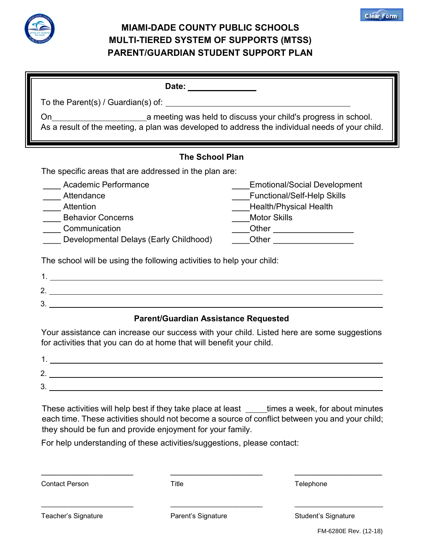

#### MIAMI-DADE COUNTY PUBLIC SCHOOLS MULTI-TIERED SYSTEM OF SUPPORTS (MTSS) PARENT/GUARDIAN STUDENT SUPPORT PLAN

| Date: ______________                                                                                                                                                                                                   |                                                                                                                                                                                     |  |
|------------------------------------------------------------------------------------------------------------------------------------------------------------------------------------------------------------------------|-------------------------------------------------------------------------------------------------------------------------------------------------------------------------------------|--|
|                                                                                                                                                                                                                        |                                                                                                                                                                                     |  |
| a meeting was held to discuss your child's progress in school.<br>On.<br>As a result of the meeting, a plan was developed to address the individual needs of your child.                                               |                                                                                                                                                                                     |  |
| <b>The School Plan</b>                                                                                                                                                                                                 |                                                                                                                                                                                     |  |
| The specific areas that are addressed in the plan are:                                                                                                                                                                 |                                                                                                                                                                                     |  |
| Academic Performance<br>Attendance<br><b>Attention</b><br><b>Behavior Concerns</b><br>Communication<br>Developmental Delays (Early Childhood)<br>The school will be using the following activities to help your child: | Emotional/Social Development<br><b>Functional/Self-Help Skills</b><br><b>Health/Physical Health</b><br><b>Motor Skills</b><br>Other __________________<br>Other ___________________ |  |
|                                                                                                                                                                                                                        |                                                                                                                                                                                     |  |
|                                                                                                                                                                                                                        |                                                                                                                                                                                     |  |

#### Parent/Guardian Assistance Requested

Your assistance can increase our success with your child. Listed here are some suggestions for activities that you can do at home that will benefit your child.

| <u>.</u> |  |
|----------|--|
| ັ        |  |

These activities will help best if they take place at least times a week, for about minutes each time. These activities should not become a source of conflict between you and your child; they should be fun and provide enjoyment for your family.

\_\_\_\_\_\_\_\_\_\_\_\_\_\_\_\_\_\_\_\_ \_\_\_\_\_\_\_\_\_\_\_\_\_\_\_\_\_\_\_\_ \_\_\_\_\_\_\_\_\_\_\_\_\_\_\_\_\_\_\_

\_\_\_\_\_\_\_\_\_\_\_\_\_\_\_\_\_\_\_\_\_\_\_\_ \_\_\_\_\_\_\_\_\_\_\_\_\_\_\_\_\_\_\_\_\_\_\_\_ \_\_\_\_\_\_\_\_\_\_\_\_\_\_\_\_\_\_\_\_\_\_\_

For help understanding of these activities/suggestions, please contact:

Contact Person **Title** Telephone Telephone

Teacher's Signature **Parent's Signature** Parent's Signature Student's Signature

**Clear Form**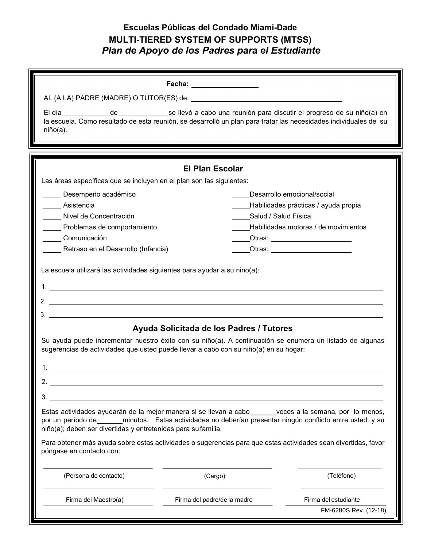### Escuelas Públicas del Condado Miami-Dade MULTI-TIERED SYSTEM OF SUPPORTS (MTSS) Plan de Apoyo de los Padres para el Estudiante

|                                                                                                                                                                                                                                                          | Fecha: ___________________                                                                                                                           |                                                                      |
|----------------------------------------------------------------------------------------------------------------------------------------------------------------------------------------------------------------------------------------------------------|------------------------------------------------------------------------------------------------------------------------------------------------------|----------------------------------------------------------------------|
|                                                                                                                                                                                                                                                          |                                                                                                                                                      |                                                                      |
| El día a contra contra la contra del contra la contra del contra la contra del contra la contra del contra la<br>la escuela. Como resultado de esta reunión, se desarrolló un plan para tratar las necesidades individuales de su<br>$ni\tilde{p}$ o(a). | _de_________________se llevó a cabo una reunión para discutir el progreso de su niño(a) en                                                           |                                                                      |
|                                                                                                                                                                                                                                                          |                                                                                                                                                      |                                                                      |
|                                                                                                                                                                                                                                                          | <b>El Plan Escolar</b>                                                                                                                               |                                                                      |
| Las áreas específicas que se incluyen en el plan son las siguientes:                                                                                                                                                                                     |                                                                                                                                                      |                                                                      |
| Desempeño académico                                                                                                                                                                                                                                      |                                                                                                                                                      | Desarrollo emocional/social                                          |
| Asistencia                                                                                                                                                                                                                                               |                                                                                                                                                      | Habilidades prácticas / ayuda propia                                 |
| Nivel de Concentración                                                                                                                                                                                                                                   |                                                                                                                                                      | Salud / Salud Física                                                 |
| Problemas de comportamiento                                                                                                                                                                                                                              |                                                                                                                                                      | Habilidades motoras / de movimientos                                 |
| Comunicación<br>Retraso en el Desarrollo (Infancia)                                                                                                                                                                                                      |                                                                                                                                                      | _Otras: ________________________<br>_Otras: ________________________ |
|                                                                                                                                                                                                                                                          | Ayuda Solicitada de los Padres / Tutores<br>Su ayuda puede incrementar nuestro éxito con su niño(a). A continuación se enumera un listado de algunas |                                                                      |
|                                                                                                                                                                                                                                                          |                                                                                                                                                      |                                                                      |
| sugerencias de actividades que usted puede llevar a cabo con su niño(a) en su hogar:                                                                                                                                                                     |                                                                                                                                                      |                                                                      |
|                                                                                                                                                                                                                                                          |                                                                                                                                                      |                                                                      |
|                                                                                                                                                                                                                                                          |                                                                                                                                                      |                                                                      |
| 3.<br>Estas actividades ayudarán de la mejor manera si se llevan a cabo ______veces a la semana, por lo menos,<br>niño(a); deben ser divertidas y entretenidas para su familia.                                                                          |                                                                                                                                                      |                                                                      |
| Para obtener más ayuda sobre estas actividades o sugerencias para que estas actividades sean divertidas, favor<br>póngase en contacto con:                                                                                                               |                                                                                                                                                      |                                                                      |
| (Persona de contacto)                                                                                                                                                                                                                                    | (Cargo)                                                                                                                                              | (Teléfono)                                                           |
| Firma del Maestro(a)                                                                                                                                                                                                                                     | Firma del padre/de la madre                                                                                                                          | Firma del estudiante                                                 |